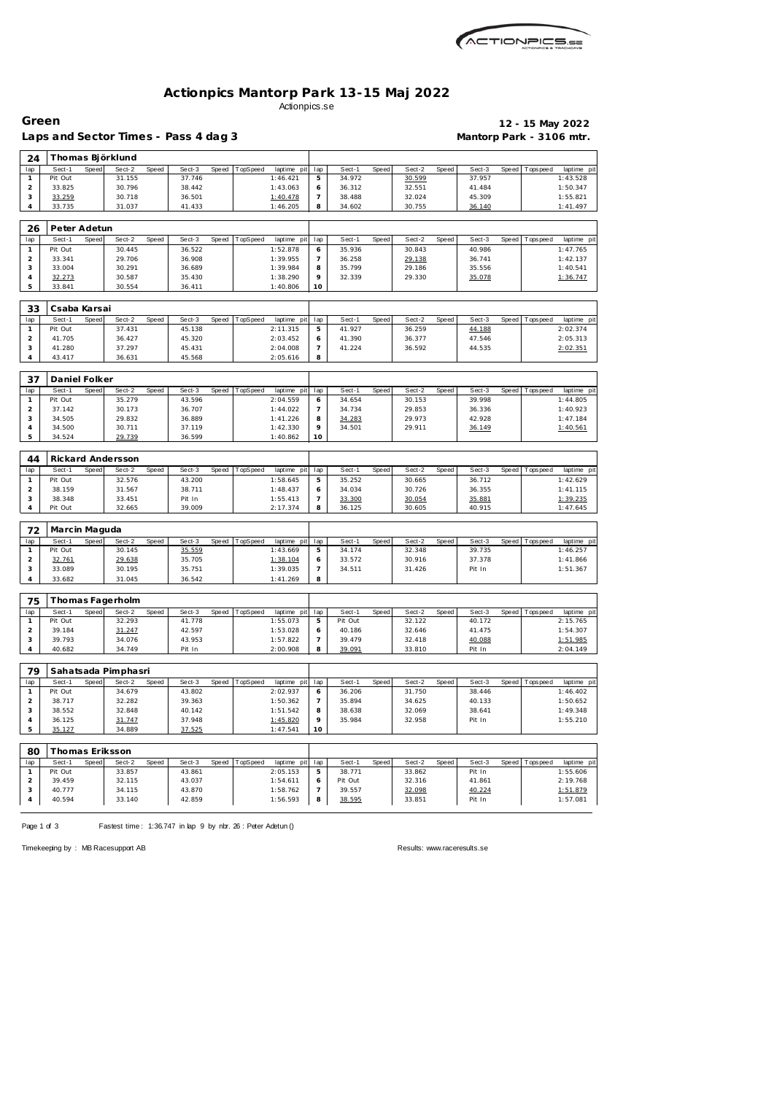

### **Actionpics Mantorp Park 13-15 Maj 2022** Actionpics.se

 $\overline{\phantom{a}}$ 

Laps and Sector Times - Pass 4 dag 3 **Mantorp Park - 3106 mtr.** 

**Green 12 - 15 May 2022**

 $\overline{\phantom{0}}$ 

|                     |                   |       | Thomas Björklund    |       |                  |       |          |                         |                |                   |              |                  |       |                  |       |                |                                                    |
|---------------------|-------------------|-------|---------------------|-------|------------------|-------|----------|-------------------------|----------------|-------------------|--------------|------------------|-------|------------------|-------|----------------|----------------------------------------------------|
| lap                 | Sect-1            | Speed | Sect-2              | Speed | Sect-3           | Speed | TopSpeed | laptime pit             | lap            | Sect-1            | Speed        | Sect-2           | Speed | Sect-3           | Speed | Tops pee d     | laptime pit                                        |
| $\mathbf{1}$        | Pit Out           |       | 31.155              |       | 37.746           |       |          | 1:46.421                | 5              | 34.972            |              | 30.599           |       | 37.957           |       |                | 1:43.528                                           |
| $\mathbf 2$         | 33.825            |       | 30.796              |       | 38.442           |       |          | 1:43.063                | 6              | 36.312            |              | 32.551           |       | 41.484           |       |                | 1:50.347                                           |
| 3                   | 33.259            |       | 30.718              |       | 36.501           |       |          | 1:40.478                | $\overline{7}$ | 38.488            |              | 32.024           |       | 45.309           |       |                | 1:55.821                                           |
| 4                   | 33.735            |       | 31.037              |       | 41.433           |       |          | 1:46.205                | 8              | 34.602            |              | 30.755           |       | 36.140           |       |                | 1:41.497                                           |
|                     |                   |       |                     |       |                  |       |          |                         |                |                   |              |                  |       |                  |       |                |                                                    |
| 26                  | Peter Adetun      |       |                     |       |                  |       |          |                         |                |                   |              |                  |       |                  |       |                |                                                    |
| lap                 | Sect-1            | Speed | Sect-2              | Speed | Sect-3           | Speed | TopSpeed | laptime pit             | lap            | Sect-1            | <b>Speed</b> | Sect-2           | Speed | Sect-3           | Speed | T ops pee d    | laptime pit                                        |
| 1                   | Pit Out           |       | 30.445              |       | 36.522           |       |          | 1:52.878                | 6              | 35.936            |              | 30.843           |       | 40.986           |       |                | 1:47.765                                           |
| $\overline{c}$      | 33.341            |       | 29.706              |       | 36.908           |       |          | 1:39.955                | $\overline{7}$ | 36.258            |              | 29.138           |       | 36.741           |       |                | 1:42.137                                           |
| 3                   | 33.004            |       | 30.291              |       | 36.689           |       |          | 1:39.984                | 8              | 35.799            |              | 29.186           |       | 35.556           |       |                | 1:40.541                                           |
| $\sqrt{4}$          | 32.273            |       | 30.587              |       | 35.430           |       |          | 1:38.290                | 9              | 32.339            |              | 29.330           |       | 35.078           |       |                | 1:36.747                                           |
| 5                   | 33.841            |       | 30.554              |       | 36.411           |       |          | 1:40.806                | 10             |                   |              |                  |       |                  |       |                |                                                    |
|                     |                   |       |                     |       |                  |       |          |                         |                |                   |              |                  |       |                  |       |                |                                                    |
| 33                  | Csaba Karsai      |       |                     |       |                  |       |          |                         |                |                   |              |                  |       |                  |       |                |                                                    |
| lap                 | Sect-1            | Speed | Sect-2              | Speed | Sect-3           | Speed | TopSpeed | laptime pit             | lap            | Sect-1            | Speed        | Sect-2           | Speed | Sect-3           | Speed | Tops pee d     | laptime pit                                        |
| 1                   | Pit Out           |       | 37.431              |       | 45.138           |       |          | 2:11.315                | 5              | 41.927            |              | 36.259           |       | 44.188           |       |                | 2:02.374                                           |
| $\overline{c}$      | 41.705            |       | 36.427              |       | 45.320           |       |          | 2:03.452                | 6              | 41.390            |              | 36.377           |       | 47.546           |       |                | 2:05.313                                           |
| 3<br>4              | 41.280<br>43.417  |       | 37.297<br>36.631    |       | 45.431<br>45.568 |       |          | 2:04.008<br>2:05.616    | 7<br>8         | 41.224            |              | 36.592           |       | 44.535           |       |                | 2:02.351                                           |
|                     |                   |       |                     |       |                  |       |          |                         |                |                   |              |                  |       |                  |       |                |                                                    |
|                     |                   |       |                     |       |                  |       |          |                         |                |                   |              |                  |       |                  |       |                |                                                    |
| 37                  | Daniel Folker     |       |                     |       |                  |       |          |                         |                |                   |              |                  |       |                  |       |                |                                                    |
| lap<br>$\mathbf{1}$ | Sect-1<br>Pit Out | Speed | Sect-2<br>35.279    | Speed | Sect-3<br>43.596 | Speed | TopSpeed | laptime pit<br>2:04.559 | lap<br>6       | Sect-1<br>34.654  | Speed        | Sect-2<br>30.153 | Speed | Sect-3<br>39.998 | Speed | Tops pee d     | laptime pit<br>1:44.805                            |
| $\overline{c}$      | 37.142            |       | 30.173              |       | 36.707           |       |          | 1:44.022                | $\overline{7}$ | 34.734            |              | 29.853           |       | 36.336           |       |                | 1:40.923                                           |
| 3                   | 34.505            |       | 29.832              |       | 36.889           |       |          | 1:41.226                | 8              | 34.283            |              | 29.973           |       | 42.928           |       |                | 1:47.184                                           |
| $\sqrt{4}$          | 34.500            |       | 30.711              |       | 37.119           |       |          | 1:42.330                | 9              | 34.501            |              | 29.911           |       | 36.149           |       |                | 1:40.561                                           |
| 5                   | 34.524            |       | 29.739              |       | 36.599           |       |          | 1:40.862                | 10             |                   |              |                  |       |                  |       |                |                                                    |
|                     |                   |       |                     |       |                  |       |          |                         |                |                   |              |                  |       |                  |       |                |                                                    |
| 44                  |                   |       | Rickard Andersson   |       |                  |       |          |                         |                |                   |              |                  |       |                  |       |                |                                                    |
| lap                 | Sect-1            | Speed | Sect-2              | Speed | Sect-3           | Speed | TopSpeed | laptime pit             | lap            | Sect-1            | Speed        | Sect-2           | Speed | Sect-3           | Speed | T ops pee d    | laptime pit                                        |
| 1                   | Pit Out           |       | 32.576              |       | 43.200           |       |          | 1:58.645                | 5              | 35.252            |              | 30.665           |       | 36.712           |       |                | 1:42.629                                           |
| $\overline{c}$      | 38.159            |       | 31.567              |       | 38.711           |       |          | 1:48.437                | 6              | 34.034            |              | 30.726           |       | 36.355           |       |                | 1:41.115                                           |
| 3                   | 38.348            |       | 33.451              |       | Pit In           |       |          | 1:55.413                | $\overline{7}$ | 33.300            |              | 30.054           |       | 35.881           |       |                | 1:39.235                                           |
| $\overline{4}$      | Pit Out           |       | 32.665              |       | 39.009           |       |          | 2:17.374                | 8              | 36.125            |              | 30.605           |       | 40.915           |       |                | 1:47.645                                           |
|                     |                   |       |                     |       |                  |       |          |                         |                |                   |              |                  |       |                  |       |                |                                                    |
|                     |                   |       |                     |       |                  |       |          |                         |                |                   |              |                  |       |                  |       |                |                                                    |
|                     | Marcin Maguda     |       |                     |       |                  |       |          |                         |                |                   |              |                  |       |                  |       |                |                                                    |
| 72<br>lap           | Sect-1            | Speed | Sect-2              | Speed | Sect-3           | Speed | TopSpeed | laptime pit             | lap            | Sect-1            | Speed        | Sect-2           | Speed | Sect-3           | Speed | Tops pee d     | laptime pit                                        |
| $\mathbf{1}$        | Pit Out           |       | 30.145              |       | 35.559           |       |          | 1:43.669                | 5              | 34.174            |              | 32.348           |       | 39.735           |       |                | 1:46.257                                           |
| $\overline{c}$      | 32.761            |       | 29.638              |       | 35.705           |       |          | 1:38.104                | 6              | 33.572            |              | 30.916           |       | 37.378           |       |                | 1:41.866                                           |
| 3                   | 33.089            |       | 30.195              |       | 35.751           |       |          | 1:39.035                | $\overline{7}$ | 34.511            |              | 31.426           |       | Pit In           |       |                | 1:51.367                                           |
| 4                   | 33.682            |       | 31.045              |       | 36.542           |       |          | 1:41.269                | 8              |                   |              |                  |       |                  |       |                |                                                    |
|                     |                   |       |                     |       |                  |       |          |                         |                |                   |              |                  |       |                  |       |                |                                                    |
| 75                  |                   |       | Thomas Fagerholm    |       |                  |       |          |                         |                |                   |              |                  |       |                  |       |                |                                                    |
| lap                 | Sect-1            | Speed | Sect-2              | Speed | Sect-3           | Speed | TopSpeed | laptime pit             | lap            | Sect-1            | Speed        | Sect-2           | Speed | Sect-3           | Speed | T ops pee d    |                                                    |
| 1                   | Pit Out           |       | 32.293              |       | 41.778           |       |          | 1:55.073                | 5              | Pit Out           |              | 32.122           |       | 40.172           |       |                | 2:15.765                                           |
| $\overline{c}$      | 39.184            |       | 31.247              |       | 42.597           |       |          | 1:53.028                | 6              | 40.186            |              | 32.646           |       | 41.475           |       |                | 1:54.307                                           |
| 3                   | 39.793            |       | 34.076              |       | 43.953           |       |          | 1:57.822                | $\overline{7}$ | 39.479            |              | 32.418           |       | 40.088           |       |                | 1:51.985                                           |
| 4                   | 40.682            |       | 34.749              |       | Pit In           |       |          | 2:00.908                | 8              | 39.091            |              | 33.810           |       | Pit In           |       |                | 2:04.149                                           |
|                     |                   |       |                     |       |                  |       |          |                         |                |                   |              |                  |       |                  |       |                |                                                    |
| 79                  |                   |       | Sahatsada Pimphasri |       |                  |       |          |                         |                |                   |              |                  |       |                  |       |                |                                                    |
| lap                 | Sect-1            | Speed | Sect-2              | Speed | Sect-3           | Speed | TopSpeed | laptime pit             | lap            | Sect-1            | Speed        | Sect-2           | Speed | Sect-3           | Speed | Tops peed      | laptime pit                                        |
| $\mathbf{1}$        | Pit Out           |       | 34.679              |       | 43.802           |       |          | 2:02.937                | 6              | 36.206            |              | 31.750           |       | 38.446           |       |                | 1:46.402                                           |
| $\overline{a}$      | 38.717            |       | 32.282              |       | 39.363           |       |          | 1:50.362                | $\overline{7}$ | 35.894            |              | 34.625           |       | 40.133           |       |                | 1:50.652                                           |
| 3                   | 38.552            |       | 32.848              |       | 40.142           |       |          | 1:51.542                | 8              | 38.638            |              | 32.069           |       | 38.641           |       |                | 1:49.348                                           |
| $\overline{4}$      | 36.125            |       | 31.747              |       | 37.948           |       |          | 1:45.820                | 9              | 35.984            |              | 32.958           |       | Pit In           |       |                | 1:55.210                                           |
| 5                   | 35.127            |       | 34.889              |       | 37.525           |       |          | 1:47.541                | 10             |                   |              |                  |       |                  |       |                |                                                    |
|                     |                   |       |                     |       |                  |       |          |                         |                |                   |              |                  |       |                  |       |                |                                                    |
| 80                  | Thomas Eriksson   |       |                     |       |                  |       |          |                         |                |                   |              |                  |       |                  |       |                |                                                    |
| lap                 | Sect-1            | Speed | Sect-2              | Speed | Sect-3           | Speed | TopSpeed | laptime pit lap         |                | Sect-1            | Speed        | Sect-2           | Speed | Sect-3           |       | Speed Topspeed |                                                    |
| $\mathbf{1}$        | Pit Out           |       | 33.857              |       | 43.861           |       |          | 2:05.153                | 5              | 38.771            |              | 33.862           |       | Pit In           |       |                | 1:55.606                                           |
| $\overline{a}$<br>3 | 39.459<br>40.777  |       | 32.115<br>34.115    |       | 43.037<br>43.870 |       |          | 1:54.611<br>1:58.762    | 6<br>7         | Pit Out<br>39.557 |              | 32.316<br>32.098 |       | 41.861<br>40.224 |       |                | laptime pit<br>laptime pit<br>2:19.768<br>1:51.879 |

Page 1 of 3 Fastest time: 1:36.747 in lap 9 by nbr. 26 : Peter Adetun ()

Timekeeping by : MB Racesupport AB Results:<www.raceresults.se>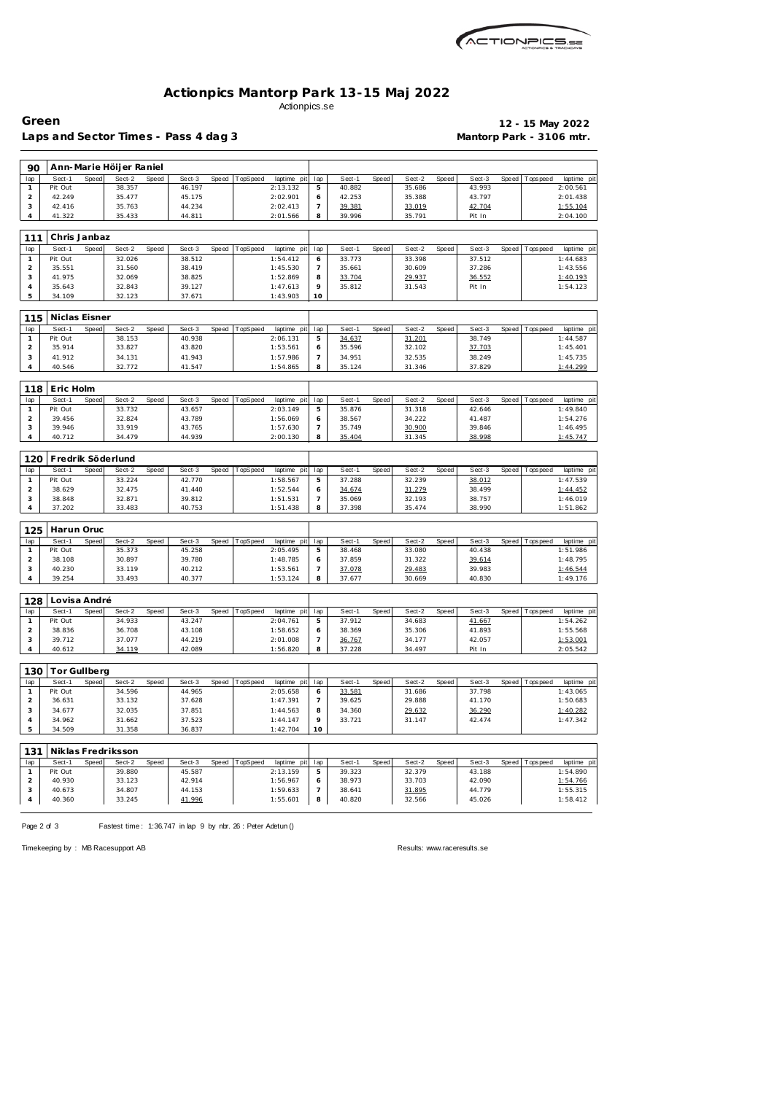

### **Actionpics Mantorp Park 13-15 Maj 2022** Actionpics.se

# Laps and Sector Times - Pass 4 dag 3 **Mantorp Park - 3106 mtr.**

**Green 12 - 15 May 2022**

| 90                             |                   |       | Ann-Marie Höljer Raniel |       |                  |       |          |                         |                |                  |       |                  |       |                  |       |                   |                        |
|--------------------------------|-------------------|-------|-------------------------|-------|------------------|-------|----------|-------------------------|----------------|------------------|-------|------------------|-------|------------------|-------|-------------------|------------------------|
| lap                            | Sect-1            | Speed | Sect- $2$               | Speed | Sect-3           | Speed | TopSpeed | laptime pit             | lap            | Sect-1           | Speed | Sect-2           | Speed | Sect-3           | Speed | Tops peed         | laptime pi             |
| $\mathbf{1}$                   | Pit Out           |       | 38.357                  |       | 46.197           |       |          | 2:13.132                | 5              | 40.882           |       | 35.686           |       | 43.993           |       |                   | 2:00.561               |
| $\overline{a}$                 | 42.249            |       | 35.477                  |       | 45.175           |       |          | 2:02.901                | 6              | 42.253           |       | 35.388           |       | 43.797           |       |                   | 2:01.438               |
| 3                              | 42.416            |       | 35.763                  |       | 44.234           |       |          | 2:02.413                | $\overline{7}$ | 39.381           |       | 33.019           |       | 42.704           |       |                   | 1:55.104               |
| 4                              | 41.322            |       | 35.433                  |       | 44.811           |       |          | 2:01.566                | 8              | 39.996           |       | 35.791           |       | Pit In           |       |                   | 2:04.100               |
|                                |                   |       |                         |       |                  |       |          |                         |                |                  |       |                  |       |                  |       |                   |                        |
| 111                            | Chris Janbaz      |       |                         |       |                  |       |          |                         |                |                  |       |                  |       |                  |       |                   |                        |
| lap                            | Sect-1            | Speed | Sect-2                  | Speed | Sect-3           | Speed | TopSpeed | laptime pit             | lap            | Sect-1           | Speed | Sect-2           | Speed | Sect-3           | Speed | Tops peed         | laptime pit            |
| $\mathbf{1}$                   | Pit Out           |       | 32.026                  |       | 38.512           |       |          | 1:54.412                | 6              | 33.773           |       | 33.398           |       | 37.512           |       |                   | 1:44.683               |
| $\overline{c}$                 | 35.551            |       | 31.560                  |       | 38.419           |       |          | 1:45.530                | $\overline{7}$ | 35.661           |       | 30.609           |       | 37.286           |       |                   | 1:43.556               |
| 3                              | 41.975            |       | 32.069                  |       | 38.825           |       |          | 1:52.869                | 8              | 33.704           |       | 29.937           |       | 36.552           |       |                   | 1:40.193               |
| $\overline{4}$                 | 35.643            |       | 32.843                  |       | 39.127           |       |          | 1:47.613                | 9              | 35.812           |       | 31.543           |       | Pit In           |       |                   | 1:54.123               |
| 5                              | 34.109            |       | 32.123                  |       | 37.671           |       |          | 1:43.903                | 10             |                  |       |                  |       |                  |       |                   |                        |
|                                |                   |       |                         |       |                  |       |          |                         |                |                  |       |                  |       |                  |       |                   |                        |
| 115                            | Niclas Eisner     |       |                         |       |                  |       |          |                         |                |                  |       |                  |       |                  |       |                   |                        |
|                                |                   |       |                         |       |                  |       |          |                         |                |                  |       |                  |       |                  |       |                   |                        |
| lap<br>$\mathbf{1}$            | Sect-1<br>Pit Out | Speed | Sect-2<br>38.153        | Speed | Sect-3<br>40.938 | Speed | TopSpeed | laptime pit<br>2:06.131 | lap<br>5       | Sect-1<br>34.637 | Speed | Sect-2<br>31.201 | Speed | Sect-3<br>38.749 |       | Speed Topspeed    | laptime pi<br>1:44.587 |
| $\overline{c}$                 | 35.914            |       | 33.827                  |       | 43.820           |       |          | 1:53.561                | 6              | 35.596           |       | 32.102           |       |                  |       |                   | 1:45.401               |
|                                |                   |       |                         |       |                  |       |          |                         |                |                  |       |                  |       | 37.703           |       |                   |                        |
| 3                              | 41.912            |       | 34.131                  |       | 41.943           |       |          | 1:57.986                | 7<br>8         | 34.951           |       | 32.535           |       | 38.249           |       |                   | 1:45.735               |
| 4                              | 40.546            |       | 32.772                  |       | 41.547           |       |          | 1:54.865                |                | 35.124           |       | 31.346           |       | 37.829           |       |                   | 1:44.299               |
|                                |                   |       |                         |       |                  |       |          |                         |                |                  |       |                  |       |                  |       |                   |                        |
| 118                            | Eric Holm         |       |                         |       |                  |       |          |                         |                |                  |       |                  |       |                  |       |                   |                        |
| lap                            | Sect-1            | Speed | Sect-2                  | Speed | Sect-3           | Speed | TopSpeed | laptime pit             | lap            | Sect-1           | Speed | Sect-2           | Speed | Sect-3           | Speed | Tops peed         | laptime pit            |
| $\mathbf{1}$                   | Pit Out           |       | 33.732                  |       | 43.657           |       |          | 2:03.149                | 5              | 35.876           |       | 31.318           |       | 42.646           |       |                   | 1:49.840               |
| $\overline{a}$                 | 39.456            |       | 32.824                  |       | 43.789           |       |          | 1:56.069                | 6              | 38.567           |       | 34.222           |       | 41.487           |       |                   | 1:54.276               |
| 3                              | 39.946            |       | 33.919                  |       | 43.765           |       |          | 1:57.630                | $\overline{7}$ | 35.749           |       | 30.900           |       | 39.846           |       |                   | 1:46.495               |
| 4                              | 40.712            |       | 34.479                  |       | 44.939           |       |          | 2:00.130                | 8              | 35.404           |       | 31.345           |       | 38.998           |       |                   | 1:45.747               |
|                                |                   |       |                         |       |                  |       |          |                         |                |                  |       |                  |       |                  |       |                   |                        |
| 120                            |                   |       | Fredrik Söderlund       |       |                  |       |          |                         |                |                  |       |                  |       |                  |       |                   |                        |
| lap                            | Sect-1            | Speed | Sect-2                  | Speed | Sect-3           | Speed | TopSpeed | laptime pit             | lap            | Sect-1           | Speed | Sect-2           | Speed | Sect-3           | Speed | T ops pee d       | laptime pi             |
| $\mathbf{1}$                   | Pit Out           |       | 33.224                  |       | 42.770           |       |          | 1:58.567                | 5              | 37.288           |       | 32.239           |       | 38.012           |       |                   | 1:47.539               |
| $\overline{a}$                 | 38.629            |       | 32.475                  |       | 41.440           |       |          | 1:52.544                | 6              | 34.674           |       | <u>31.279</u>    |       | 38.499           |       |                   | 1:44.452               |
| 3                              | 38.848            |       | 32.871                  |       | 39.812           |       |          | 1:51.531                | $\overline{7}$ | 35.069           |       | 32.193           |       | 38.757           |       |                   | 1:46.019               |
| 4                              | 37.202            |       | 33.483                  |       | 40.753           |       |          | 1:51.438                | 8              | 37.398           |       | 35.474           |       | 38.990           |       |                   | 1:51.862               |
|                                |                   |       |                         |       |                  |       |          |                         |                |                  |       |                  |       |                  |       |                   |                        |
| 125                            | Harun Oruc        |       |                         |       |                  |       |          |                         |                |                  |       |                  |       |                  |       |                   |                        |
| lap                            | Sect-1            | Speed | Sect-2                  | Speed | Sect-3           | Speed | TopSpeed | laptime pit             | lap            | Sect-1           | Speed | Sect-2           | Speed | Sect-3           |       | Speed Topspeed    | laptime pi             |
| $\mathbf{1}$                   | Pit Out           |       | 35.373                  |       | 45.258           |       |          | 2:05.495                | 5              | 38.468           |       | 33.080           |       | 40.438           |       |                   | 1:51.986               |
| $\overline{a}$                 | 38.108            |       | 30.897                  |       | 39.780           |       |          | 1:48.785                | 6              | 37.859           |       | 31.322           |       | 39.614           |       |                   | 1:48.795               |
| 3                              | 40.230            |       | 33.119                  |       | 40.212           |       |          | 1:53.561                | 7              | 37.078           |       | 29.483           |       | 39.983           |       |                   | 1:46.544               |
| 4                              | 39.254            |       | 33.493                  |       | 40.377           |       |          | 1:53.124                | 8              | 37.677           |       | 30.669           |       | 40.830           |       |                   | 1:49.176               |
|                                |                   |       |                         |       |                  |       |          |                         |                |                  |       |                  |       |                  |       |                   |                        |
|                                |                   |       |                         |       |                  |       |          |                         |                |                  |       |                  |       |                  |       |                   |                        |
| 128                            | Lovisa André      |       |                         |       |                  |       |          |                         |                |                  |       |                  |       |                  |       |                   |                        |
| lap                            | Sect-1            | Speed | Sect-2                  | Speed | Sect-3           | Speed | TopSpeed | laptime pit             | lap            | Sect-1           | Speed | Sect-2           | Speed | Sect-3           | Speed | Tops peed         | laptime pit            |
| $\mathbf{1}$                   | Pit Out           |       | 34.933                  |       | 43.247           |       |          | 2:04.761                | 5              | 37.912           |       | 34.683           |       | 41.667           |       |                   | 1:54.262               |
| $\overline{c}$                 | 38.836<br>39.712  |       | 36.708                  |       | 43.108           |       |          | 1:58.652                | 6              | 38.369           |       | 35.306           |       | 41.893           |       |                   | 1:55.568               |
| 3<br>$\overline{4}$            |                   |       | 37.077                  |       | 44.219           |       |          | 2:01.008                | $\overline{7}$ | 36.767           |       | 34.177<br>34.497 |       | 42.057<br>Pit In |       |                   | 1:53.001<br>2:05.542   |
|                                |                   |       |                         |       |                  |       |          |                         |                |                  |       |                  |       |                  |       |                   |                        |
|                                | 40.612            |       | 34.119                  |       | 42.089           |       |          | 1:56.820                | 8              | 37.228           |       |                  |       |                  |       |                   |                        |
|                                |                   |       |                         |       |                  |       |          |                         |                |                  |       |                  |       |                  |       |                   |                        |
| 130                            | Tor Gullberg      |       |                         |       |                  |       |          |                         |                |                  |       |                  |       |                  |       |                   |                        |
| lap                            | Sect-1            | Speed | Sect-2                  | Speed | Sect-3           | Speed | TopSpeed | laptime pit             | lap            | Sect-1           | Speed | Sect-2           | Speed | Sect-3           |       | Speed   Tops peed | laptime pi             |
| $\mathbf{1}$                   | Pit Out           |       | 34.596                  |       | 44.965           |       |          | 2:05.658                | 6              | 33.581           |       | 31.686           |       | 37.798           |       |                   | 1:43.065               |
| $\overline{2}$                 | 36.631            |       | 33.132                  |       | 37.628           |       |          | 1:47.391                | 7              | 39.625           |       | 29.888           |       | 41.170           |       |                   | 1:50.683               |
| 3                              | 34.677            |       | 32.035                  |       | 37.851           |       |          | 1:44.563                | 8              | 34.360           |       | 29.632           |       | 36.290           |       |                   | 1:40.282               |
| 4                              | 34.962            |       | 31.662                  |       | 37.523           |       |          | 1:44.147                | 9              | 33.721           |       | 31.147           |       | 42.474           |       |                   | 1:47.342               |
| 5                              | 34.509            |       | 31.358                  |       | 36.837           |       |          | 1:42.704                | 10             |                  |       |                  |       |                  |       |                   |                        |
|                                |                   |       |                         |       |                  |       |          |                         |                |                  |       |                  |       |                  |       |                   |                        |
|                                |                   |       |                         |       |                  |       |          |                         |                |                  |       |                  |       |                  |       |                   |                        |
| 131                            |                   |       | Niklas Fredriksson      |       |                  |       |          |                         |                |                  |       |                  |       |                  |       |                   |                        |
| lap                            | Sect-1            | Speed | Sect-2                  | Speed | Sect-3           | Speed | TopSpeed | laptime pit             | lap            | Sect-1           | Speed | Sect-2           | Speed | Sect-3           |       | Speed   Tops peed | laptime pi             |
| $\mathbf{1}$<br>$\overline{2}$ | Pit Out<br>40.930 |       | 39.880<br>33.123        |       | 45.587<br>42.914 |       |          | 2:13.159<br>1:56.967    | 5<br>6         | 39.323<br>38.973 |       | 32.379<br>33.703 |       | 43.188<br>42.090 |       |                   | 1:54.890               |
| 3                              | 40.673            |       | 34.807                  |       | 44.153           |       |          | 1:59.633                | $\overline{7}$ | 38.641           |       |                  |       | 44.779           |       |                   | 1:54.766<br>1:55.315   |
| 4                              | 40.360            |       | 33.245                  |       | 41.996           |       |          | 1:55.601                | 8              | 40.820           |       | 31.895<br>32.566 |       | 45.026           |       |                   | 1:58.412               |

Page 2 of 3 Fastest time: 1:36.747 in lap 9 by nbr. 26 : Peter Adetun ()

Timekeeping by : MB Racesupport AB Results:<www.raceresults.se>